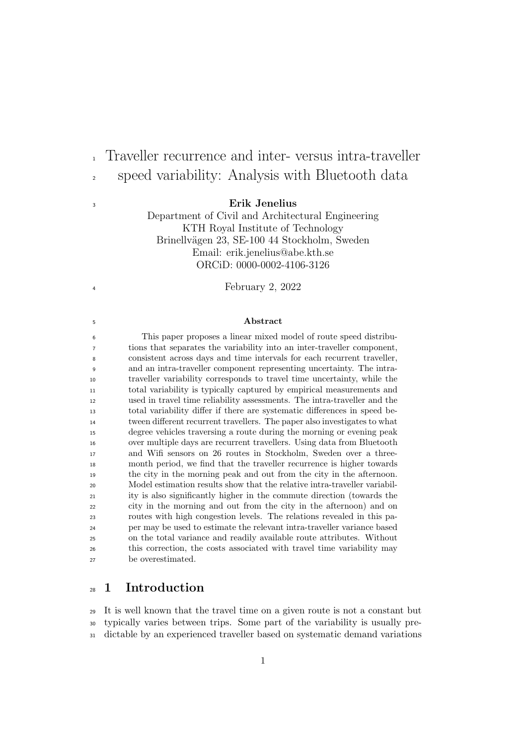### Erik Jenelius

Traveller recurrence and inter- versus intra-traveller

speed variability: Analysis with Bluetooth data

Department of Civil and Architectural Engineering KTH Royal Institute of Technology Brinellvägen 23, SE-100 44 Stockholm, Sweden Email: erik.jenelius@abe.kth.se ORCiD: 0000-0002-4106-3126

February 2, 2022

#### Abstract

 This paper proposes a linear mixed model of route speed distribu- tions that separates the variability into an inter-traveller component, consistent across days and time intervals for each recurrent traveller, and an intra-traveller component representing uncertainty. The intra- traveller variability corresponds to travel time uncertainty, while the total variability is typically captured by empirical measurements and used in travel time reliability assessments. The intra-traveller and the total variability differ if there are systematic differences in speed be- tween different recurrent travellers. The paper also investigates to what degree vehicles traversing a route during the morning or evening peak over multiple days are recurrent travellers. Using data from Bluetooth and Wifi sensors on 26 routes in Stockholm, Sweden over a three- month period, we find that the traveller recurrence is higher towards the city in the morning peak and out from the city in the afternoon. Model estimation results show that the relative intra-traveller variabil- ity is also significantly higher in the commute direction (towards the city in the morning and out from the city in the afternoon) and on routes with high congestion levels. The relations revealed in this pa- per may be used to estimate the relevant intra-traveller variance based on the total variance and readily available route attributes. Without this correction, the costs associated with travel time variability may be overestimated.

# 1 Introduction

 It is well known that the travel time on a given route is not a constant but typically varies between trips. Some part of the variability is usually pre-dictable by an experienced traveller based on systematic demand variations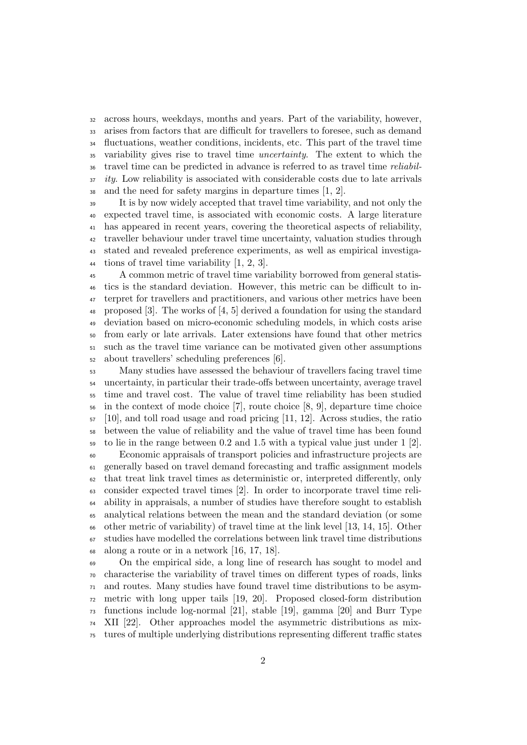across hours, weekdays, months and years. Part of the variability, however, arises from factors that are difficult for travellers to foresee, such as demand fluctuations, weather conditions, incidents, etc. This part of the travel time variability gives rise to travel time uncertainty. The extent to which the travel time can be predicted in advance is referred to as travel time reliabil- $\frac{37}{10}$  ity. Low reliability is associated with considerable costs due to late arrivals and the need for safety margins in departure times [\[1,](#page-15-0) [2\]](#page-15-1).

 It is by now widely accepted that travel time variability, and not only the expected travel time, is associated with economic costs. A large literature has appeared in recent years, covering the theoretical aspects of reliability, traveller behaviour under travel time uncertainty, valuation studies through stated and revealed preference experiments, as well as empirical investiga-44 tions of travel time variability  $[1, 2, 3]$  $[1, 2, 3]$  $[1, 2, 3]$ .

 A common metric of travel time variability borrowed from general statis- tics is the standard deviation. However, this metric can be difficult to in- terpret for travellers and practitioners, and various other metrics have been 48 proposed [\[3\]](#page-15-2). The works of [\[4,](#page-15-3) [5\]](#page-16-0) derived a foundation for using the standard deviation based on micro-economic scheduling models, in which costs arise from early or late arrivals. Later extensions have found that other metrics such as the travel time variance can be motivated given other assumptions about travellers' scheduling preferences [\[6\]](#page-16-1).

 Many studies have assessed the behaviour of travellers facing travel time uncertainty, in particular their trade-offs between uncertainty, average travel time and travel cost. The value of travel time reliability has been studied in the context of mode choice [\[7\]](#page-16-2), route choice [\[8,](#page-16-3) [9\]](#page-16-4), departure time choice  $57 \quad [10]$  $57 \quad [10]$ , and toll road usage and road pricing [\[11,](#page-16-6) [12\]](#page-16-7). Across studies, the ratio between the value of reliability and the value of travel time has been found to lie in the range between 0.2 and 1.5 with a typical value just under 1 [\[2\]](#page-15-1). Economic appraisals of transport policies and infrastructure projects are generally based on travel demand forecasting and traffic assignment models

 that treat link travel times as deterministic or, interpreted differently, only consider expected travel times [\[2\]](#page-15-1). In order to incorporate travel time reli- ability in appraisals, a number of studies have therefore sought to establish analytical relations between the mean and the standard deviation (or some other metric of variability) of travel time at the link level [\[13,](#page-16-8) [14,](#page-16-9) [15\]](#page-16-10). Other studies have modelled the correlations between link travel time distributions along a route or in a network [\[16,](#page-16-11) [17,](#page-17-0) [18\]](#page-17-1).

 On the empirical side, a long line of research has sought to model and characterise the variability of travel times on different types of roads, links and routes. Many studies have found travel time distributions to be asym- metric with long upper tails [\[19,](#page-17-2) [20\]](#page-17-3). Proposed closed-form distribution functions include log-normal [\[21\]](#page-17-4), stable [\[19\]](#page-17-2), gamma [\[20\]](#page-17-3) and Burr Type XII [\[22\]](#page-17-5). Other approaches model the asymmetric distributions as mix-tures of multiple underlying distributions representing different traffic states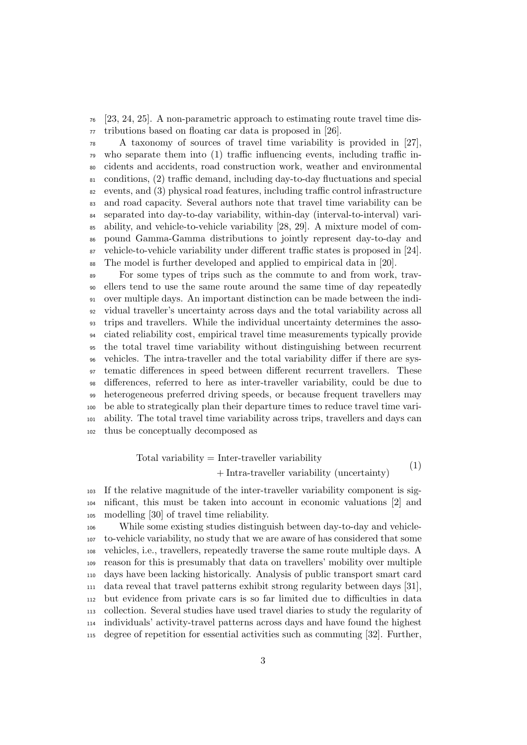[\[23,](#page-17-6) [24,](#page-17-7) [25\]](#page-17-8). A non-parametric approach to estimating route travel time dis-tributions based on floating car data is proposed in [\[26\]](#page-17-9).

 A taxonomy of sources of travel time variability is provided in [\[27\]](#page-17-10), who separate them into (1) traffic influencing events, including traffic in- cidents and accidents, road construction work, weather and environmental conditions, (2) traffic demand, including day-to-day fluctuations and special  $\alpha$  events, and (3) physical road features, including traffic control infrastructure and road capacity. Several authors note that travel time variability can be separated into day-to-day variability, within-day (interval-to-interval) vari- ability, and vehicle-to-vehicle variability [\[28,](#page-17-11) [29\]](#page-18-0). A mixture model of com- pound Gamma-Gamma distributions to jointly represent day-to-day and vehicle-to-vehicle variability under different traffic states is proposed in [\[24\]](#page-17-7). The model is further developed and applied to empirical data in [\[20\]](#page-17-3).

 For some types of trips such as the commute to and from work, trav- ellers tend to use the same route around the same time of day repeatedly over multiple days. An important distinction can be made between the indi- vidual traveller's uncertainty across days and the total variability across all trips and travellers. While the individual uncertainty determines the asso- ciated reliability cost, empirical travel time measurements typically provide the total travel time variability without distinguishing between recurrent vehicles. The intra-traveller and the total variability differ if there are sys- tematic differences in speed between different recurrent travellers. These differences, referred to here as inter-traveller variability, could be due to heterogeneous preferred driving speeds, or because frequent travellers may be able to strategically plan their departure times to reduce travel time vari- ability. The total travel time variability across trips, travellers and days can thus be conceptually decomposed as

> Total variability  $=$  Inter-traveller variability + Intra-traveller variability (uncertainty) (1)

 If the relative magnitude of the inter-traveller variability component is sig- nificant, this must be taken into account in economic valuations [\[2\]](#page-15-1) and modelling [\[30\]](#page-18-1) of travel time reliability.

 While some existing studies distinguish between day-to-day and vehicle- to-vehicle variability, no study that we are aware of has considered that some vehicles, i.e., travellers, repeatedly traverse the same route multiple days. A reason for this is presumably that data on travellers' mobility over multiple days have been lacking historically. Analysis of public transport smart card data reveal that travel patterns exhibit strong regularity between days [\[31\]](#page-18-2), but evidence from private cars is so far limited due to difficulties in data collection. Several studies have used travel diaries to study the regularity of individuals' activity-travel patterns across days and have found the highest degree of repetition for essential activities such as commuting [\[32\]](#page-18-3). Further,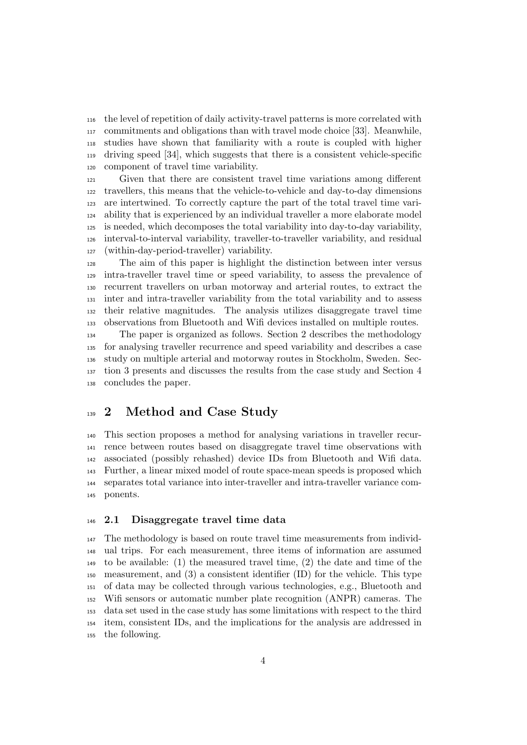the level of repetition of daily activity-travel patterns is more correlated with commitments and obligations than with travel mode choice [\[33\]](#page-18-4). Meanwhile, studies have shown that familiarity with a route is coupled with higher driving speed [\[34\]](#page-18-5), which suggests that there is a consistent vehicle-specific component of travel time variability.

 Given that there are consistent travel time variations among different travellers, this means that the vehicle-to-vehicle and day-to-day dimensions are intertwined. To correctly capture the part of the total travel time vari- ability that is experienced by an individual traveller a more elaborate model is needed, which decomposes the total variability into day-to-day variability, interval-to-interval variability, traveller-to-traveller variability, and residual (within-day-period-traveller) variability.

 The aim of this paper is highlight the distinction between inter versus intra-traveller travel time or speed variability, to assess the prevalence of recurrent travellers on urban motorway and arterial routes, to extract the inter and intra-traveller variability from the total variability and to assess their relative magnitudes. The analysis utilizes disaggregate travel time observations from Bluetooth and Wifi devices installed on multiple routes.

 The paper is organized as follows. Section 2 describes the methodology for analysing traveller recurrence and speed variability and describes a case study on multiple arterial and motorway routes in Stockholm, Sweden. Sec- tion 3 presents and discusses the results from the case study and Section 4 concludes the paper.

# <sup>139</sup> 2 Method and Case Study

 This section proposes a method for analysing variations in traveller recur- rence between routes based on disaggregate travel time observations with associated (possibly rehashed) device IDs from Bluetooth and Wifi data. Further, a linear mixed model of route space-mean speeds is proposed which separates total variance into inter-traveller and intra-traveller variance com-ponents.

### 2.1 Disaggregate travel time data

 The methodology is based on route travel time measurements from individ- ual trips. For each measurement, three items of information are assumed to be available: (1) the measured travel time, (2) the date and time of the measurement, and (3) a consistent identifier (ID) for the vehicle. This type of data may be collected through various technologies, e.g., Bluetooth and Wifi sensors or automatic number plate recognition (ANPR) cameras. The data set used in the case study has some limitations with respect to the third item, consistent IDs, and the implications for the analysis are addressed in the following.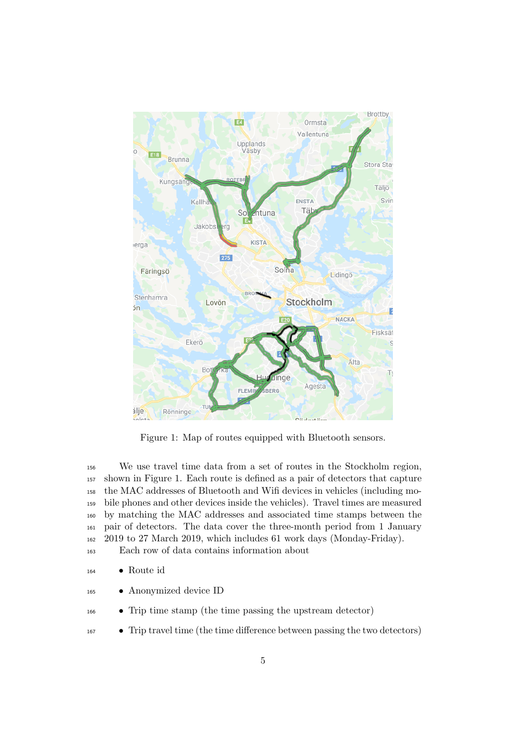

Figure 1: Map of routes equipped with Bluetooth sensors.

<span id="page-4-0"></span> We use travel time data from a set of routes in the Stockholm region, shown in Figure [1.](#page-4-0) Each route is defined as a pair of detectors that capture the MAC addresses of Bluetooth and Wifi devices in vehicles (including mo- bile phones and other devices inside the vehicles). Travel times are measured by matching the MAC addresses and associated time stamps between the pair of detectors. The data cover the three-month period from 1 January 2019 to 27 March 2019, which includes 61 work days (Monday-Friday).

Each row of data contains information about

• Route id

- Anonymized device ID
- Trip time stamp (the time passing the upstream detector)
- Trip travel time (the time difference between passing the two detectors)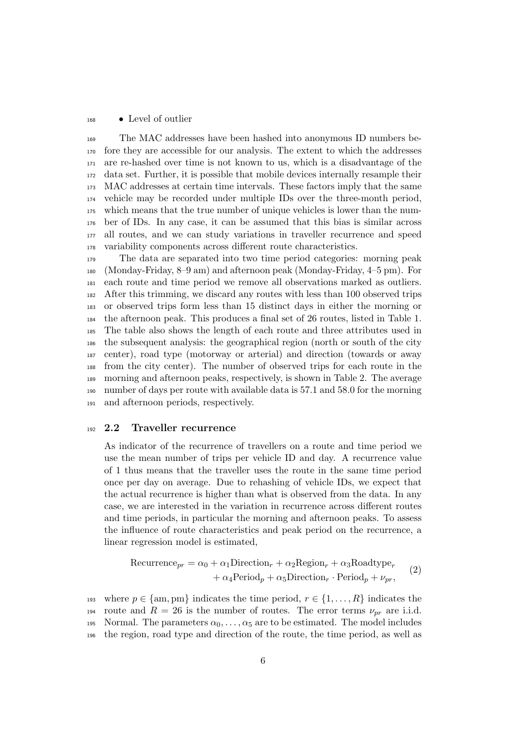#### • Level of outlier

 The MAC addresses have been hashed into anonymous ID numbers be- fore they are accessible for our analysis. The extent to which the addresses are re-hashed over time is not known to us, which is a disadvantage of the data set. Further, it is possible that mobile devices internally resample their MAC addresses at certain time intervals. These factors imply that the same vehicle may be recorded under multiple IDs over the three-month period, which means that the true number of unique vehicles is lower than the num- ber of IDs. In any case, it can be assumed that this bias is similar across all routes, and we can study variations in traveller recurrence and speed variability components across different route characteristics.

 The data are separated into two time period categories: morning peak (Monday-Friday, 8–9 am) and afternoon peak (Monday-Friday, 4–5 pm). For each route and time period we remove all observations marked as outliers. After this trimming, we discard any routes with less than 100 observed trips or observed trips form less than 15 distinct days in either the morning or the afternoon peak. This produces a final set of 26 routes, listed in Table [1.](#page-6-0) The table also shows the length of each route and three attributes used in the subsequent analysis: the geographical region (north or south of the city center), road type (motorway or arterial) and direction (towards or away from the city center). The number of observed trips for each route in the morning and afternoon peaks, respectively, is shown in Table [2.](#page-9-0) The average number of days per route with available data is 57.1 and 58.0 for the morning and afternoon periods, respectively.

#### 2.2 Traveller recurrence

As indicator of the recurrence of travellers on a route and time period we use the mean number of trips per vehicle ID and day. A recurrence value of 1 thus means that the traveller uses the route in the same time period once per day on average. Due to rehashing of vehicle IDs, we expect that the actual recurrence is higher than what is observed from the data. In any case, we are interested in the variation in recurrence across different routes and time periods, in particular the morning and afternoon peaks. To assess the influence of route characteristics and peak period on the recurrence, a linear regression model is estimated,

<span id="page-5-0"></span>
$$
\text{Recurrence}_{pr} = \alpha_0 + \alpha_1 \text{Direction}_r + \alpha_2 \text{Region}_r + \alpha_3 \text{Roadtype}_r + \alpha_4 \text{Period}_p + \alpha_5 \text{Direction}_r \cdot \text{Period}_p + \nu_{pr}, \tag{2}
$$

193 where  $p \in \{am, pm\}$  indicates the time period,  $r \in \{1, ..., R\}$  indicates the 194 route and  $R = 26$  is the number of routes. The error terms  $\nu_{pr}$  are i.i.d. 195 Normal. The parameters  $\alpha_0, \ldots, \alpha_5$  are to be estimated. The model includes the region, road type and direction of the route, the time period, as well as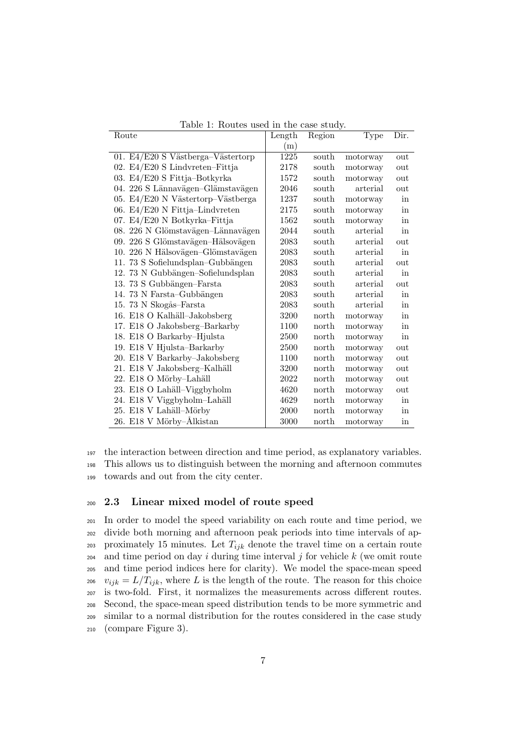| Route                             | Length   | Region | Type     | Dir.                |
|-----------------------------------|----------|--------|----------|---------------------|
|                                   | (m)      |        |          |                     |
| 01. E4/E20 S Västberga-Västertorp | 1225     | south  | motorway | out                 |
| 02. E4/E20 S Lindvreten-Fittja    | 2178     | south  | motorway | out                 |
| 03. E4/E20 S Fittja-Botkyrka      | 1572     | south  | motorway | out                 |
| 04. 226 S Lännavägen-Glämstavägen | 2046     | south  | arterial | out                 |
| 05. E4/E20 N Västertorp-Västberga | 1237     | south  | motorway | in                  |
| 06. $E4/E20$ N Fittja-Lindvreten  | 2175     | south  | motorway | in                  |
| 07. E4/E20 N Botkyrka-Fittja      | 1562     | south  | motorway | in                  |
| 08. 226 N Glömstavägen-Lännavägen | 2044     | south  | arterial | in                  |
| 09. 226 S Glömstavägen-Hälsovägen | 2083     | south  | arterial | out                 |
| 10. 226 N Hälsovägen-Glömstavägen | 2083     | south  | arterial | in                  |
| 11. 73 S Sofielundsplan-Gubbängen | 2083     | south  | arterial | out                 |
| 12. 73 N Gubbängen-Sofielundsplan | 2083     | south  | arterial | in                  |
| 13. 73 S Gubbängen-Farsta         | 2083     | south  | arterial | out                 |
| 14. 73 N Farsta-Gubbängen         | 2083     | south  | arterial | in                  |
| 15. 73 N Skogås-Farsta            | 2083     | south  | arterial | in                  |
| 16. E18 O Kalhäll-Jakobsberg      | 3200     | north  | motorway | in                  |
| 17. E18 O Jakobsberg-Barkarby     | 1100     | north  | motorway | in                  |
| 18. E18 O Barkarby-Hjulsta        | 2500     | north  | motorway | in                  |
| 19. E18 V Hjulsta-Barkarby        | 2500     | north  | motorway | out                 |
| 20. E18 V Barkarby-Jakobsberg     | 1100     | north  | motorway | out                 |
| 21. E18 V Jakobsberg-Kalhäll      | 3200     | north  | motorway | out                 |
| 22. E18 O Mörby-Lahäll            | 2022     | north  | motorway | out                 |
| 23. E18 O Lahäll-Viggbyholm       | 4620     | north  | motorway | out                 |
| 24. E18 V Viggbyholm-Lahäll       | 4629     | north  | motorway | in                  |
| 25. E18 V Lahäll-Mörby            | $2000\,$ | north  | motorway | $\operatorname{in}$ |
| 26. E18 V Mörby–Ålkistan          | 3000     | north  | motorway | in                  |

<span id="page-6-0"></span>Table 1: Routes used in the case study.

<sup>197</sup> the interaction between direction and time period, as explanatory variables.

<sup>198</sup> This allows us to distinguish between the morning and afternoon commutes <sup>199</sup> towards and out from the city center.

## <span id="page-6-1"></span><sup>200</sup> 2.3 Linear mixed model of route speed

 In order to model the speed variability on each route and time period, we divide both morning and afternoon peak periods into time intervals of ap-203 proximately 15 minutes. Let  $T_{ijk}$  denote the travel time on a certain route  $_{204}$  and time period on day i during time interval j for vehicle k (we omit route and time period indices here for clarity). We model the space-mean speed <sup>206</sup>  $v_{ijk} = L/T_{ijk}$ , where L is the length of the route. The reason for this choice is two-fold. First, it normalizes the measurements across different routes. Second, the space-mean speed distribution tends to be more symmetric and similar to a normal distribution for the routes considered in the case study (compare Figure [3\)](#page-11-0).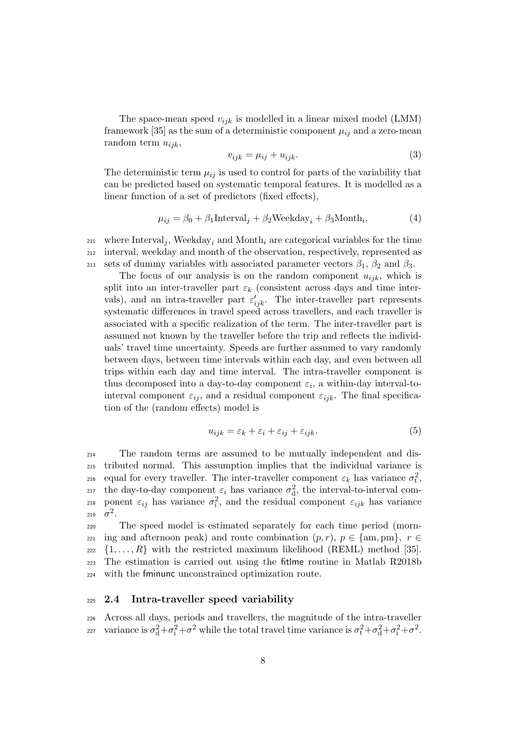The space-mean speed  $v_{ijk}$  is modelled in a linear mixed model (LMM) framework [\[35\]](#page-18-6) as the sum of a deterministic component  $\mu_{ij}$  and a zero-mean random term  $u_{ijk}$ ,

$$
v_{ijk} = \mu_{ij} + u_{ijk}.\tag{3}
$$

The deterministic term  $\mu_{ij}$  is used to control for parts of the variability that can be predicted based on systematic temporal features. It is modelled as a linear function of a set of predictors (fixed effects),

$$
\mu_{ij} = \beta_0 + \beta_1 \text{Interval}_j + \beta_2 \text{Weekday}_i + \beta_3 \text{Month}_i,\tag{4}
$$

 $_{211}$  where Interval<sub>i</sub>, Weekday<sub>i</sub> and Month<sub>i</sub> are categorical variables for the time <sup>212</sup> interval, weekday and month of the observation, respectively, represented as 213 sets of dummy variables with associated parameter vectors  $\beta_1$ ,  $\beta_2$  and  $\beta_3$ .

The focus of our analysis is on the random component  $u_{ijk}$ , which is split into an inter-traveller part  $\varepsilon_k$  (consistent across days and time intervals), and an intra-traveller part  $\varepsilon'_{ijk}$ . The inter-traveller part represents systematic differences in travel speed across travellers, and each traveller is associated with a specific realization of the term. The inter-traveller part is assumed not known by the traveller before the trip and reflects the individuals' travel time uncertainty. Speeds are further assumed to vary randomly between days, between time intervals within each day, and even between all trips within each day and time interval. The intra-traveller component is thus decomposed into a day-to-day component  $\varepsilon_i$ , a within-day interval-tointerval component  $\varepsilon_{ij}$ , and a residual component  $\varepsilon_{ijk}$ . The final specification of the (random effects) model is

$$
u_{ijk} = \varepsilon_k + \varepsilon_i + \varepsilon_{ij} + \varepsilon_{ijk}.\tag{5}
$$

<sup>214</sup> The random terms are assumed to be mutually independent and dis-<sup>215</sup> tributed normal. This assumption implies that the individual variance is 216 equal for every traveller. The inter-traveller component  $\varepsilon_k$  has variance  $\sigma_t^2$ , <sup>217</sup> the day-to-day component  $\varepsilon_i$  has variance  $\sigma_d^2$ , the interval-to-interval com-218 ponent  $\varepsilon_{ij}$  has variance  $\sigma_i^2$ , and the residual component  $\varepsilon_{ijk}$  has variance 219  $\sigma^2$ .

 The speed model is estimated separately for each time period (morn- ing and afternoon peak) and route combination  $(p, r)$ ,  $p \in \{\text{am}, \text{pm}\}, r \in$  $_{222}$   $\{1, \ldots, R\}$  with the restricted maximum likelihood (REML) method [\[35\]](#page-18-6). The estimation is carried out using the fitlme routine in Matlab R2018b with the fminunc unconstrained optimization route.

## <sup>225</sup> 2.4 Intra-traveller speed variability

<sup>226</sup> Across all days, periods and travellers, the magnitude of the intra-traveller variance is  $\sigma_d^2 + \sigma_i^2 + \sigma^2$  while the total travel time variance is  $\sigma_t^2 + \sigma_d^2 + \sigma_i^2 + \sigma^2$ .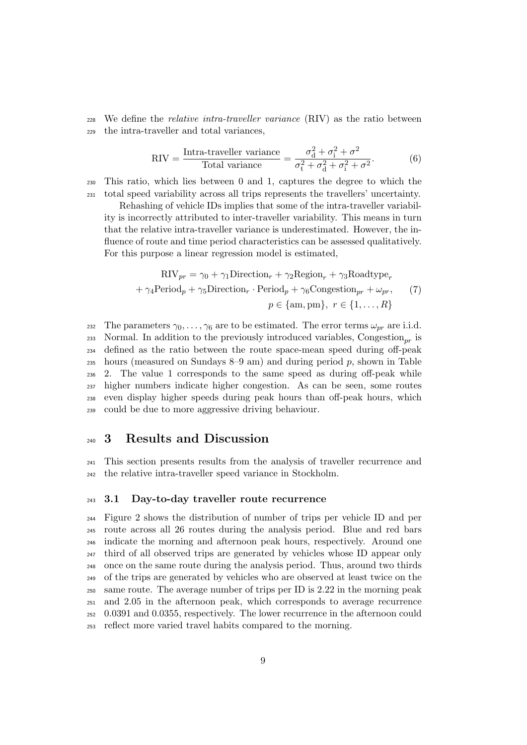<span id="page-8-0"></span><sup>228</sup> We define the relative intra-traveller variance (RIV) as the ratio between <sup>229</sup> the intra-traveller and total variances,

$$
RIV = \frac{\text{Intra-traveller variance}}{\text{Total variance}} = \frac{\sigma_d^2 + \sigma_i^2 + \sigma^2}{\sigma_t^2 + \sigma_d^2 + \sigma_i^2 + \sigma^2}.
$$
 (6)

<sup>230</sup> This ratio, which lies between 0 and 1, captures the degree to which the <sup>231</sup> total speed variability across all trips represents the travellers' uncertainty.

Rehashing of vehicle IDs implies that some of the intra-traveller variability is incorrectly attributed to inter-traveller variability. This means in turn that the relative intra-traveller variance is underestimated. However, the influence of route and time period characteristics can be assessed qualitatively. For this purpose a linear regression model is estimated,

<span id="page-8-1"></span>
$$
RIV_{pr} = \gamma_0 + \gamma_1 \text{Direction}_r + \gamma_2 \text{Region}_r + \gamma_3 \text{Roadtype}_r
$$

$$
+ \gamma_4 \text{Period}_p + \gamma_5 \text{Direction}_r \cdot \text{Period}_p + \gamma_6 \text{Congestion}_{pr} + \omega_{pr}, \qquad (7)
$$

$$
p \in \{\text{am}, \text{pm}\}, r \in \{1, ..., R\}
$$

232 The parameters  $\gamma_0, \ldots, \gamma_6$  are to be estimated. The error terms  $\omega_{pr}$  are i.i.d. 233 Normal. In addition to the previously introduced variables, Congestion<sub>pr</sub> is defined as the ratio between the route space-mean speed during off-peak 235 hours (measured on Sundays  $8-9$  am) and during period p, shown in Table [2.](#page-9-0) The value 1 corresponds to the same speed as during off-peak while higher numbers indicate higher congestion. As can be seen, some routes even display higher speeds during peak hours than off-peak hours, which could be due to more aggressive driving behaviour.

## <sup>240</sup> 3 Results and Discussion

<sup>241</sup> This section presents results from the analysis of traveller recurrence and <sup>242</sup> the relative intra-traveller speed variance in Stockholm.

### <sup>243</sup> 3.1 Day-to-day traveller route recurrence

 Figure [2](#page-10-0) shows the distribution of number of trips per vehicle ID and per route across all 26 routes during the analysis period. Blue and red bars indicate the morning and afternoon peak hours, respectively. Around one third of all observed trips are generated by vehicles whose ID appear only once on the same route during the analysis period. Thus, around two thirds of the trips are generated by vehicles who are observed at least twice on the same route. The average number of trips per ID is 2.22 in the morning peak and 2.05 in the afternoon peak, which corresponds to average recurrence 0.0391 and 0.0355, respectively. The lower recurrence in the afternoon could reflect more varied travel habits compared to the morning.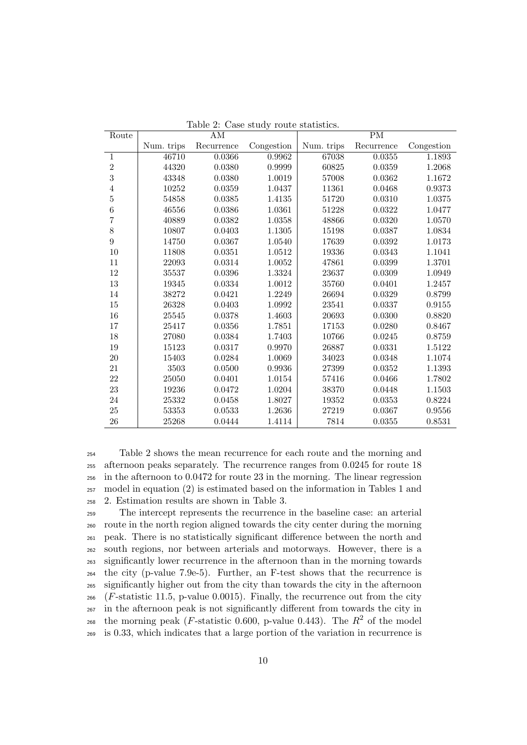| Route          |            | $\mathrm{AM}$ |            | PM         |            |            |  |  |
|----------------|------------|---------------|------------|------------|------------|------------|--|--|
|                | Num. trips | Recurrence    | Congestion | Num. trips | Recurrence | Congestion |  |  |
| $\mathbf{1}$   | 46710      | 0.0366        | 0.9962     | 67038      | 0.0355     | 1.1893     |  |  |
| $\overline{2}$ | 44320      | 0.0380        | 0.9999     | 60825      | 0.0359     | 1.2068     |  |  |
| 3              | 43348      | 0.0380        | 1.0019     | 57008      | 0.0362     | 1.1672     |  |  |
| $\overline{4}$ | 10252      | 0.0359        | 1.0437     | 11361      | 0.0468     | 0.9373     |  |  |
| $\overline{5}$ | 54858      | 0.0385        | 1.4135     | 51720      | 0.0310     | 1.0375     |  |  |
| $\overline{6}$ | 46556      | 0.0386        | 1.0361     | 51228      | 0.0322     | 1.0477     |  |  |
| $\overline{7}$ | 40889      | 0.0382        | 1.0358     | 48866      | 0.0320     | 1.0570     |  |  |
| 8              | 10807      | 0.0403        | 1.1305     | 15198      | 0.0387     | 1.0834     |  |  |
| $\overline{9}$ | 14750      | 0.0367        | 1.0540     | 17639      | 0.0392     | 1.0173     |  |  |
| $10\,$         | 11808      | 0.0351        | 1.0512     | 19336      | 0.0343     | 1.1041     |  |  |
| 11             | 22093      | 0.0314        | 1.0052     | 47861      | 0.0399     | 1.3701     |  |  |
| 12             | 35537      | 0.0396        | 1.3324     | 23637      | 0.0309     | 1.0949     |  |  |
| $13\,$         | 19345      | 0.0334        | 1.0012     | 35760      | 0.0401     | 1.2457     |  |  |
| 14             | 38272      | 0.0421        | 1.2249     | 26694      | 0.0329     | 0.8799     |  |  |
| $15\,$         | 26328      | 0.0403        | 1.0992     | 23541      | 0.0337     | 0.9155     |  |  |
| 16             | 25545      | 0.0378        | 1.4603     | 20693      | 0.0300     | 0.8820     |  |  |
| 17             | 25417      | 0.0356        | 1.7851     | 17153      | 0.0280     | 0.8467     |  |  |
| $18\,$         | 27080      | 0.0384        | 1.7403     | 10766      | 0.0245     | 0.8759     |  |  |
| 19             | 15123      | 0.0317        | 0.9970     | 26887      | 0.0331     | 1.5122     |  |  |
| 20             | 15403      | 0.0284        | 1.0069     | 34023      | 0.0348     | 1.1074     |  |  |
| 21             | 3503       | 0.0500        | 0.9936     | 27399      | 0.0352     | 1.1393     |  |  |
| 22             | 25050      | 0.0401        | 1.0154     | 57416      | 0.0466     | 1.7802     |  |  |
| $23\,$         | 19236      | 0.0472        | 1.0204     | 38370      | 0.0448     | 1.1503     |  |  |
| 24             | 25332      | 0.0458        | 1.8027     | 19352      | 0.0353     | 0.8224     |  |  |
| 25             | $53353\,$  | 0.0533        | 1.2636     | 27219      | 0.0367     | 0.9556     |  |  |
| 26             | 25268      | 0.0444        | 1.4114     | 7814       | 0.0355     | 0.8531     |  |  |

<span id="page-9-0"></span>Table 2: Case study route statistics.

 Table [2](#page-9-0) shows the mean recurrence for each route and the morning and afternoon peaks separately. The recurrence ranges from 0.0245 for route 18 in the afternoon to 0.0472 for route 23 in the morning. The linear regression model in equation [\(2\)](#page-5-0) is estimated based on the information in Tables [1](#page-6-0) and [2.](#page-9-0) Estimation results are shown in Table [3.](#page-10-1)

 The intercept represents the recurrence in the baseline case: an arterial route in the north region aligned towards the city center during the morning peak. There is no statistically significant difference between the north and south regions, nor between arterials and motorways. However, there is a significantly lower recurrence in the afternoon than in the morning towards the city (p-value 7.9e-5). Further, an F-test shows that the recurrence is significantly higher out from the city than towards the city in the afternoon (*F*-statistic 11.5, p-value 0.0015). Finally, the recurrence out from the city in the afternoon peak is not significantly different from towards the city in 268 the morning peak (*F*-statistic 0.600, p-value 0.443). The  $R^2$  of the model is 0.33, which indicates that a large portion of the variation in recurrence is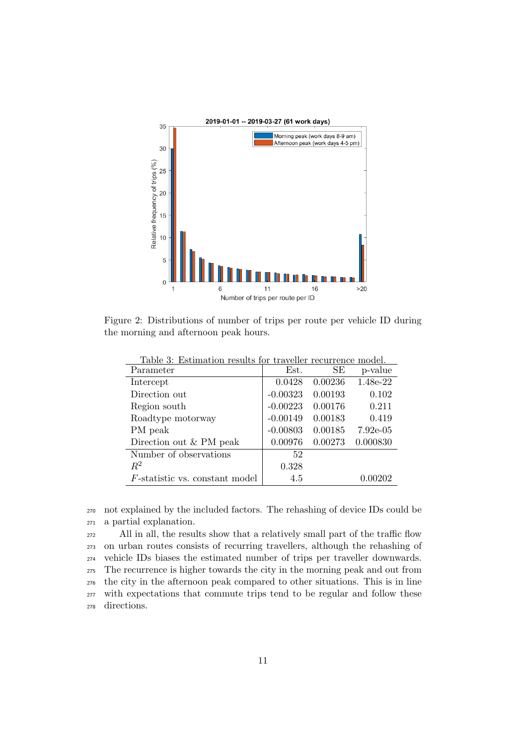

<span id="page-10-0"></span>Figure 2: Distributions of number of trips per route per vehicle ID during the morning and afternoon peak hours.

| Table 3: Estimation results for traveller recurrence model. |            |         |            |
|-------------------------------------------------------------|------------|---------|------------|
| Parameter                                                   | Est.       | SE      | p-value    |
| Intercept                                                   | 0.0428     | 0.00236 | 1.48e-22   |
| Direction out                                               | $-0.00323$ | 0.00193 | 0.102      |
| Region south                                                | $-0.00223$ | 0.00176 | 0.211      |
| Roadtype motorway                                           | $-0.00149$ | 0.00183 | 0.419      |
| PM peak                                                     | $-0.00803$ | 0.00185 | $7.92e-05$ |
| Direction out & PM peak                                     | 0.00976    | 0.00273 | 0.000830   |
| Number of observations                                      | 52         |         |            |
| $R^2$                                                       | 0.328      |         |            |
| <i>F</i> -statistic vs. constant model                      | 4.5        |         | 0.00202    |

<span id="page-10-1"></span>Table 3: Estimation results for traveller recurrence model.

<sup>270</sup> not explained by the included factors. The rehashing of device IDs could be <sup>271</sup> a partial explanation.

 All in all, the results show that a relatively small part of the traffic flow on urban routes consists of recurring travellers, although the rehashing of vehicle IDs biases the estimated number of trips per traveller downwards. The recurrence is higher towards the city in the morning peak and out from the city in the afternoon peak compared to other situations. This is in line with expectations that commute trips tend to be regular and follow these directions.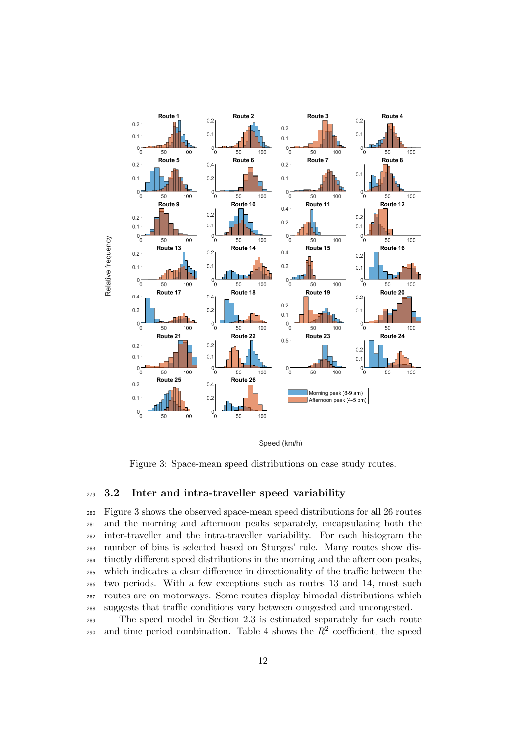

Speed (km/h)

<span id="page-11-0"></span>Figure 3: Space-mean speed distributions on case study routes.

## 3.2 Inter and intra-traveller speed variability

 Figure [3](#page-11-0) shows the observed space-mean speed distributions for all 26 routes and the morning and afternoon peaks separately, encapsulating both the inter-traveller and the intra-traveller variability. For each histogram the number of bins is selected based on Sturges' rule. Many routes show dis- tinctly different speed distributions in the morning and the afternoon peaks, which indicates a clear difference in directionality of the traffic between the two periods. With a few exceptions such as routes 13 and 14, most such routes are on motorways. Some routes display bimodal distributions which suggests that traffic conditions vary between congested and uncongested.

 The speed model in Section [2.3](#page-6-1) is estimated separately for each route 290 and time period combination. Table [4](#page-12-0) shows the  $R^2$  coefficient, the speed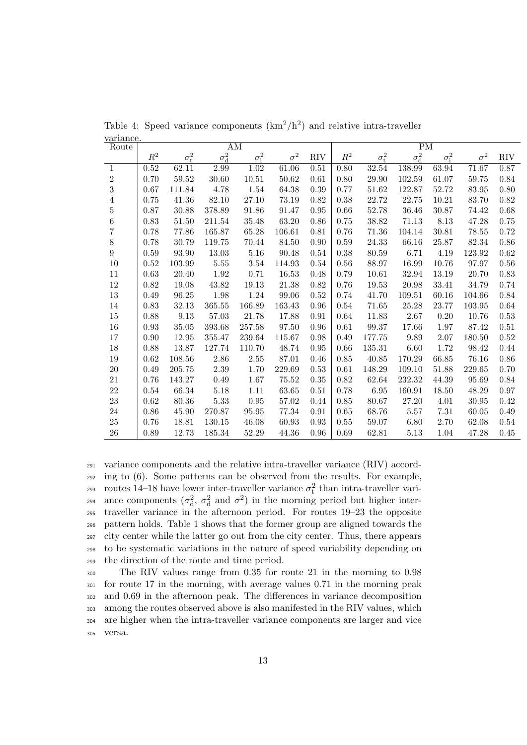| Route          | ΑM             |                    |              |              |            | PМ         |                |                    |              |              |            |            |
|----------------|----------------|--------------------|--------------|--------------|------------|------------|----------------|--------------------|--------------|--------------|------------|------------|
|                | $\mathbb{R}^2$ | $\sigma_{\rm t}^2$ | $\sigma_d^2$ | $\sigma_i^2$ | $\sigma^2$ | <b>RIV</b> | $\mathbb{R}^2$ | $\sigma_{\rm t}^2$ | $\sigma_d^2$ | $\sigma_i^2$ | $\sigma^2$ | <b>RIV</b> |
| $\mathbf{1}$   | 0.52           | 62.11              | 2.99         | 1.02         | 61.06      | 0.51       | 0.80           | 32.54              | 138.99       | 63.94        | 71.67      | 0.87       |
| 2              | 0.70           | 59.52              | $30.60\,$    | 10.51        | 50.62      | 0.61       | 0.80           | 29.90              | 102.59       | 61.07        | 59.75      | 0.84       |
| $\overline{3}$ | 0.67           | 111.84             | 4.78         | 1.54         | 64.38      | 0.39       | 0.77           | 51.62              | 122.87       | 52.72        | 83.95      | 0.80       |
| 4              | 0.75           | 41.36              | 82.10        | 27.10        | 73.19      | 0.82       | 0.38           | 22.72              | 22.75        | 10.21        | 83.70      | $0.82\,$   |
| $\overline{5}$ | 0.87           | 30.88              | 378.89       | 91.86        | 91.47      | 0.95       | 0.66           | 52.78              | 36.46        | 30.87        | 74.42      | 0.68       |
| $\overline{6}$ | 0.83           | 51.50              | 211.54       | 35.48        | 63.20      | 0.86       | 0.75           | 38.82              | 71.13        | 8.13         | 47.28      | 0.75       |
| 7              | 0.78           | 77.86              | 165.87       | 65.28        | 106.61     | 0.81       | 0.76           | 71.36              | 104.14       | 30.81        | 78.55      | 0.72       |
| $8\,$          | 0.78           | 30.79              | 119.75       | 70.44        | 84.50      | 0.90       | 0.59           | 24.33              | 66.16        | 25.87        | 82.34      | $0.86\,$   |
| 9              | 0.59           | 93.90              | 13.03        | 5.16         | 90.48      | 0.54       | 0.38           | 80.59              | 6.71         | 4.19         | 123.92     | 0.62       |
| 10             | 0.52           | 103.99             | 5.55         | $3.54\,$     | 114.93     | 0.54       | 0.56           | 88.97              | 16.99        | 10.76        | 97.97      | $0.56\,$   |
| 11             | 0.63           | 20.40              | 1.92         | 0.71         | 16.53      | 0.48       | 0.79           | 10.61              | 32.94        | 13.19        | 20.70      | $0.83\,$   |
| 12             | 0.82           | 19.08              | 43.82        | 19.13        | 21.38      | 0.82       | 0.76           | 19.53              | $20.98\,$    | 33.41        | 34.79      | 0.74       |
| $13\,$         | 0.49           | 96.25              | 1.98         | 1.24         | 99.06      | 0.52       | 0.74           | 41.70              | 109.51       | 60.16        | 104.66     | $0.84\,$   |
| 14             | 0.83           | 32.13              | 365.55       | 166.89       | 163.43     | 0.96       | 0.54           | 71.65              | 25.28        | 23.77        | 103.95     | 0.64       |
| 15             | 0.88           | $9.13\,$           | $57.03\,$    | 21.78        | 17.88      | 0.91       | 0.64           | 11.83              | $2.67\,$     | $0.20\,$     | 10.76      | $0.53\,$   |
| 16             | 0.93           | 35.05              | 393.68       | 257.58       | 97.50      | 0.96       | 0.61           | 99.37              | 17.66        | 1.97         | 87.42      | $0.51\,$   |
| 17             | 0.90           | 12.95              | 355.47       | 239.64       | 115.67     | 0.98       | 0.49           | 177.75             | 9.89         | 2.07         | 180.50     | $0.52\,$   |
| 18             | 0.88           | 13.87              | 127.74       | 110.70       | 48.74      | 0.95       | 0.66           | 135.31             | 6.60         | 1.72         | 98.42      | 0.44       |
| 19             | 0.62           | 108.56             | 2.86         | 2.55         | 87.01      | 0.46       | 0.85           | 40.85              | 170.29       | 66.85        | 76.16      | 0.86       |
| 20             | 0.49           | $205.75\,$         | $2.39\,$     | 1.70         | 229.69     | 0.53       | 0.61           | 148.29             | 109.10       | 51.88        | 229.65     | 0.70       |
| 21             | 0.76           | 143.27             | 0.49         | 1.67         | 75.52      | 0.35       | 0.82           | 62.64              | 232.32       | 44.39        | 95.69      | 0.84       |
| 22             | 0.54           | 66.34              | 5.18         | 1.11         | 63.65      | 0.51       | 0.78           | 6.95               | 160.91       | 18.50        | 48.29      | 0.97       |
| 23             | 0.62           | $80.36\,$          | 5.33         | 0.95         | 57.02      | 0.44       | 0.85           | 80.67              | 27.20        | 4.01         | 30.95      | $0.42\,$   |
| $24\,$         | 0.86           | 45.90              | 270.87       | 95.95        | 77.34      | 0.91       | 0.65           | 68.76              | 5.57         | $7.31\,$     | 60.05      | 0.49       |
| $25\,$         | 0.76           | 18.81              | 130.15       | 46.08        | 60.93      | 0.93       | 0.55           | 59.07              | 6.80         | 2.70         | 62.08      | 0.54       |
| 26             | 0.89           | 12.73              | 185.34       | 52.29        | 44.36      | 0.96       | 0.69           | 62.81              | 5.13         | 1.04         | 47.28      | 0.45       |

<span id="page-12-0"></span>Table 4: Speed variance components  $(km^2/h^2)$  and relative intra-traveller variance.

 variance components and the relative intra-traveller variance (RIV) accord- ing to [\(6\)](#page-8-0). Some patterns can be observed from the results. For example, <sup>293</sup> routes 14–18 have lower inter-traveller variance  $\sigma_t^2$  than intra-traveller vari-294 ance components  $(\sigma_d^2, \sigma_d^2 \text{ and } \sigma^2)$  in the morning period but higher inter- traveller variance in the afternoon period. For routes 19–23 the opposite pattern holds. Table [1](#page-6-0) shows that the former group are aligned towards the city center while the latter go out from the city center. Thus, there appears to be systematic variations in the nature of speed variability depending on the direction of the route and time period.

 The RIV values range from 0.35 for route 21 in the morning to 0.98 for route 17 in the morning, with average values 0.71 in the morning peak and 0.69 in the afternoon peak. The differences in variance decomposition among the routes observed above is also manifested in the RIV values, which are higher when the intra-traveller variance components are larger and vice versa.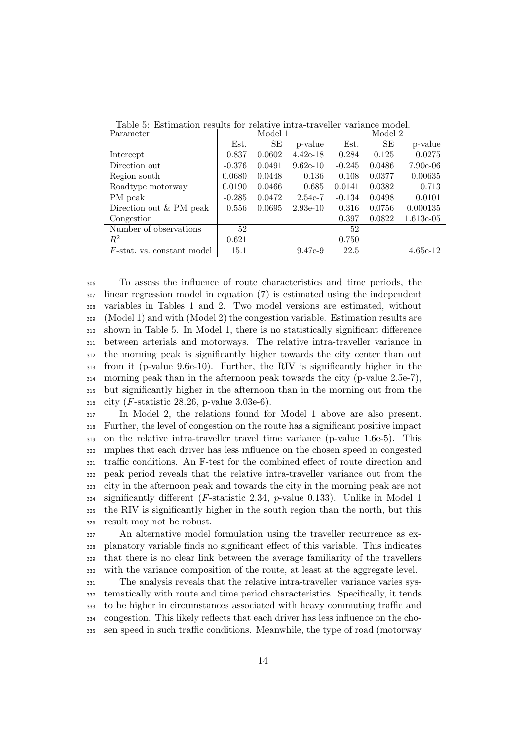| Parameter                  | Model 1  |        |            | Model 2  |        |             |  |
|----------------------------|----------|--------|------------|----------|--------|-------------|--|
|                            | Est.     | SЕ     | p-value    | Est.     | SE     | p-value     |  |
| Intercept                  | 0.837    | 0.0602 | $4.42e-18$ | 0.284    | 0.125  | 0.0275      |  |
| Direction out              | $-0.376$ | 0.0491 | $9.62e-10$ | $-0.245$ | 0.0486 | $7.90e-06$  |  |
| Region south               | 0.0680   | 0.0448 | 0.136      | 0.108    | 0.0377 | 0.00635     |  |
| Roadtype motorway          | 0.0190   | 0.0466 | 0.685      | 0.0141   | 0.0382 | 0.713       |  |
| PM peak                    | $-0.285$ | 0.0472 | $2.54e-7$  | $-0.134$ | 0.0498 | 0.0101      |  |
| Direction out & PM peak    | 0.556    | 0.0695 | $2.93e-10$ | 0.316    | 0.0756 | 0.000135    |  |
| Congestion                 |          |        |            | 0.397    | 0.0822 | $1.613e-05$ |  |
| Number of observations     | 52       |        |            | 52       |        |             |  |
| $R^2$                      | 0.621    |        |            | 0.750    |        |             |  |
| F-stat. vs. constant model | 15.1     |        | 9.47e-9    | 22.5     |        | $4.65e-12$  |  |

<span id="page-13-0"></span>Table 5: Estimation results for relative intra-traveller variance model.

 To assess the influence of route characteristics and time periods, the linear regression model in equation [\(7\)](#page-8-1) is estimated using the independent variables in Tables [1](#page-6-0) and [2.](#page-9-0) Two model versions are estimated, without (Model 1) and with (Model 2) the congestion variable. Estimation results are shown in Table [5.](#page-13-0) In Model 1, there is no statistically significant difference between arterials and motorways. The relative intra-traveller variance in the morning peak is significantly higher towards the city center than out from it (p-value 9.6e-10). Further, the RIV is significantly higher in the morning peak than in the afternoon peak towards the city (p-value 2.5e-7), but significantly higher in the afternoon than in the morning out from the city (F-statistic 28.26, p-value 3.03e-6).

 In Model 2, the relations found for Model 1 above are also present. Further, the level of congestion on the route has a significant positive impact on the relative intra-traveller travel time variance (p-value 1.6e-5). This implies that each driver has less influence on the chosen speed in congested traffic conditions. An F-test for the combined effect of route direction and peak period reveals that the relative intra-traveller variance out from the city in the afternoon peak and towards the city in the morning peak are not significantly different (*F*-statistic 2.34, *p*-value 0.133). Unlike in Model 1 the RIV is significantly higher in the south region than the north, but this result may not be robust.

 An alternative model formulation using the traveller recurrence as ex- planatory variable finds no significant effect of this variable. This indicates that there is no clear link between the average familiarity of the travellers with the variance composition of the route, at least at the aggregate level.

 The analysis reveals that the relative intra-traveller variance varies sys- tematically with route and time period characteristics. Specifically, it tends to be higher in circumstances associated with heavy commuting traffic and congestion. This likely reflects that each driver has less influence on the cho-sen speed in such traffic conditions. Meanwhile, the type of road (motorway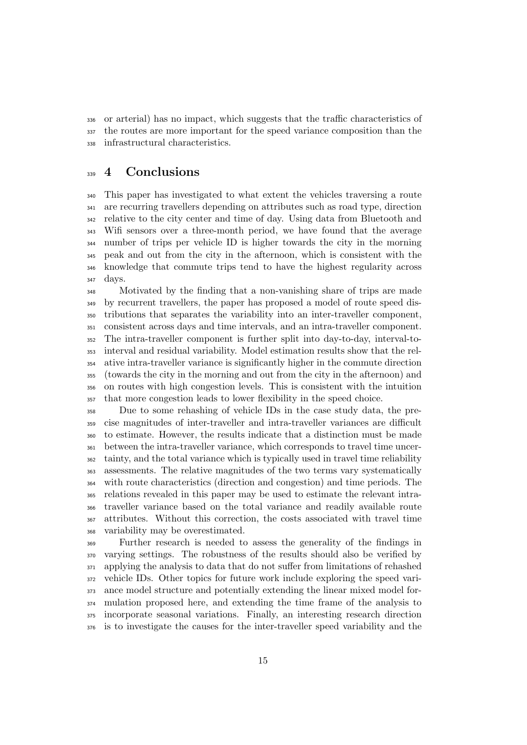or arterial) has no impact, which suggests that the traffic characteristics of the routes are more important for the speed variance composition than the infrastructural characteristics.

# <sub>339</sub> 4 Conclusions

 This paper has investigated to what extent the vehicles traversing a route are recurring travellers depending on attributes such as road type, direction relative to the city center and time of day. Using data from Bluetooth and Wifi sensors over a three-month period, we have found that the average number of trips per vehicle ID is higher towards the city in the morning peak and out from the city in the afternoon, which is consistent with the knowledge that commute trips tend to have the highest regularity across days.

 Motivated by the finding that a non-vanishing share of trips are made by recurrent travellers, the paper has proposed a model of route speed dis- tributions that separates the variability into an inter-traveller component, consistent across days and time intervals, and an intra-traveller component. The intra-traveller component is further split into day-to-day, interval-to- interval and residual variability. Model estimation results show that the rel- ative intra-traveller variance is significantly higher in the commute direction (towards the city in the morning and out from the city in the afternoon) and on routes with high congestion levels. This is consistent with the intuition that more congestion leads to lower flexibility in the speed choice.

 Due to some rehashing of vehicle IDs in the case study data, the pre- cise magnitudes of inter-traveller and intra-traveller variances are difficult to estimate. However, the results indicate that a distinction must be made between the intra-traveller variance, which corresponds to travel time uncer- tainty, and the total variance which is typically used in travel time reliability assessments. The relative magnitudes of the two terms vary systematically with route characteristics (direction and congestion) and time periods. The relations revealed in this paper may be used to estimate the relevant intra- traveller variance based on the total variance and readily available route attributes. Without this correction, the costs associated with travel time variability may be overestimated.

 Further research is needed to assess the generality of the findings in varying settings. The robustness of the results should also be verified by applying the analysis to data that do not suffer from limitations of rehashed vehicle IDs. Other topics for future work include exploring the speed vari- ance model structure and potentially extending the linear mixed model for- mulation proposed here, and extending the time frame of the analysis to incorporate seasonal variations. Finally, an interesting research direction is to investigate the causes for the inter-traveller speed variability and the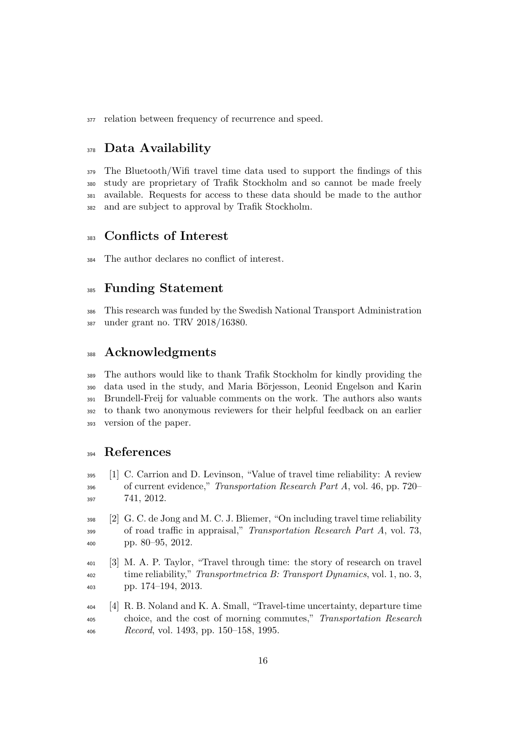relation between frequency of recurrence and speed.

# <sub>378</sub> Data Availability

 The Bluetooth/Wifi travel time data used to support the findings of this study are proprietary of Trafik Stockholm and so cannot be made freely available. Requests for access to these data should be made to the author and are subject to approval by Trafik Stockholm.

## Conflicts of Interest

The author declares no conflict of interest.

# Funding Statement

 This research was funded by the Swedish National Transport Administration under grant no. TRV 2018/16380.

## Acknowledgments

 The authors would like to thank Trafik Stockholm for kindly providing the 390 data used in the study, and Maria Börjesson, Leonid Engelson and Karin Brundell-Freij for valuable comments on the work. The authors also wants to thank two anonymous reviewers for their helpful feedback on an earlier version of the paper.

# References

- <span id="page-15-0"></span> [1] C. Carrion and D. Levinson, "Value of travel time reliability: A review of current evidence," Transportation Research Part A, vol. 46, pp. 720– 741, 2012.
- <span id="page-15-1"></span> [2] G. C. de Jong and M. C. J. Bliemer, "On including travel time reliability <sup>399</sup> of road traffic in appraisal," *Transportation Research Part A*, vol. 73, pp. 80–95, 2012.
- <span id="page-15-2"></span> [3] M. A. P. Taylor, "Travel through time: the story of research on travel <sup>402</sup> time reliability," Transportmetrica B: Transport Dynamics, vol. 1, no. 3, pp. 174–194, 2013.
- <span id="page-15-3"></span> [4] R. B. Noland and K. A. Small, "Travel-time uncertainty, departure time choice, and the cost of morning commutes," Transportation Research Record, vol. 1493, pp. 150–158, 1995.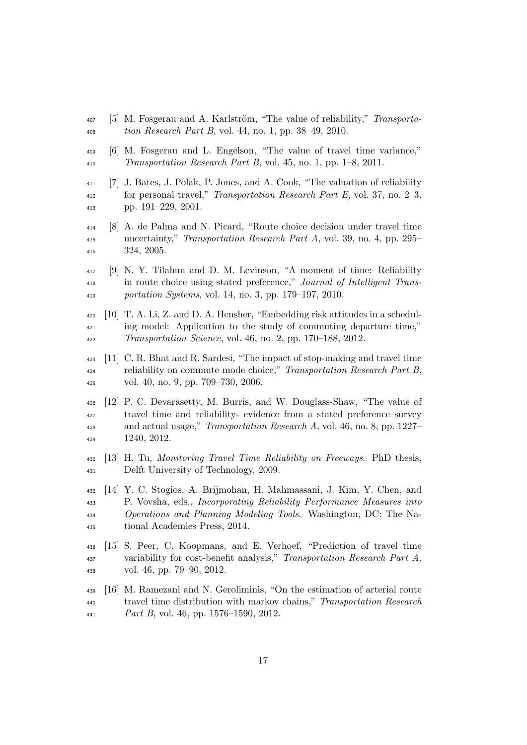- <span id="page-16-0"></span> $_{407}$  [5] M. Fosgerau and A. Karlström, "The value of reliability," Transporta-tion Research Part B, vol. 44, no. 1, pp. 38–49, 2010.
- <span id="page-16-1"></span> [6] M. Fosgerau and L. Engelson, "The value of travel time variance," Transportation Research Part B, vol. 45, no. 1, pp. 1–8, 2011.
- <span id="page-16-2"></span> [7] J. Bates, J. Polak, P. Jones, and A. Cook, "The valuation of reliability for personal travel," Transportation Research Part E, vol. 37, no. 2–3, pp. 191–229, 2001.
- <span id="page-16-3"></span> [8] A. de Palma and N. Picard, "Route choice decision under travel time uncertainty," Transportation Research Part A, vol. 39, no. 4, pp. 295– 324, 2005.
- <span id="page-16-4"></span> [9] N. Y. Tilahun and D. M. Levinson, "A moment of time: Reliability in route choice using stated preference," Journal of Intelligent Trans-portation Systems, vol. 14, no. 3, pp. 179–197, 2010.
- <span id="page-16-5"></span> [10] T. A. Li, Z. and D. A. Hensher, "Embedding risk attitudes in a schedul- ing model: Application to the study of commuting departure time," Transportation Science, vol. 46, no. 2, pp. 170–188, 2012.
- <span id="page-16-6"></span> [11] C. R. Bhat and R. Sardesi, "The impact of stop-making and travel time reliability on commute mode choice," Transportation Research Part B, vol. 40, no. 9, pp. 709–730, 2006.
- <span id="page-16-7"></span> [12] P. C. Devarasetty, M. Burris, and W. Douglass-Shaw, "The value of travel time and reliability- evidence from a stated preference survey and actual usage," Transportation Research A, vol. 46, no. 8, pp. 1227– 1240, 2012.
- <span id="page-16-8"></span> [13] H. Tu, Monitoring Travel Time Reliability on Freeways. PhD thesis, Delft University of Technology, 2009.
- <span id="page-16-9"></span> [14] Y. C. Stogios, A. Brijmohan, H. Mahmassani, J. Kim, Y. Chen, and P. Vovsha, eds., Incorporating Reliability Performance Measures into Operations and Planning Modeling Tools. Washington, DC: The Na-tional Academies Press, 2014.
- <span id="page-16-10"></span> [15] S. Peer, C. Koopmans, and E. Verhoef, "Prediction of travel time variability for cost-benefit analysis," Transportation Research Part A, vol. 46, pp. 79–90, 2012.
- <span id="page-16-11"></span> [16] M. Ramezani and N. Geroliminis, "On the estimation of arterial route travel time distribution with markov chains," Transportation Research Part B, vol. 46, pp. 1576–1590, 2012.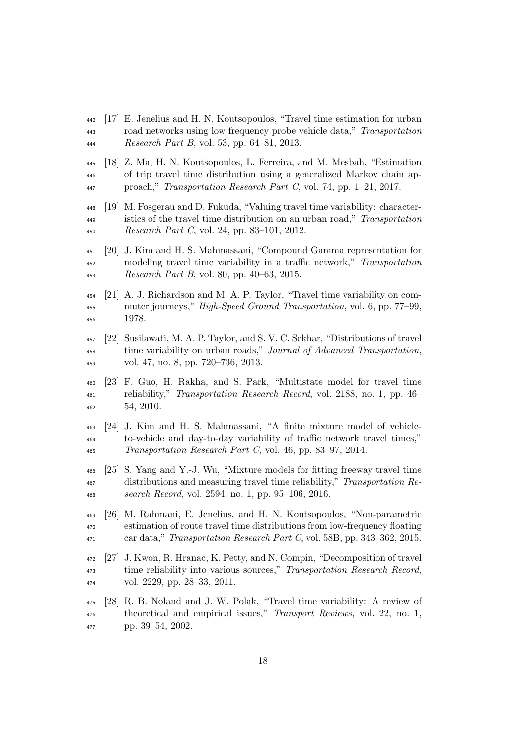- <span id="page-17-0"></span> [17] E. Jenelius and H. N. Koutsopoulos, "Travel time estimation for urban road networks using low frequency probe vehicle data," Transportation Research Part B, vol. 53, pp. 64–81, 2013.
- <span id="page-17-1"></span> [18] Z. Ma, H. N. Koutsopoulos, L. Ferreira, and M. Mesbah, "Estimation of trip travel time distribution using a generalized Markov chain ap-proach," Transportation Research Part C, vol. 74, pp. 1–21, 2017.
- <span id="page-17-2"></span> [19] M. Fosgerau and D. Fukuda, "Valuing travel time variability: character- istics of the travel time distribution on an urban road," Transportation Research Part C, vol. 24, pp. 83–101, 2012.
- <span id="page-17-3"></span> [20] J. Kim and H. S. Mahmassani, "Compound Gamma representation for modeling travel time variability in a traffic network," Transportation Research Part B, vol. 80, pp. 40–63, 2015.
- <span id="page-17-4"></span> [21] A. J. Richardson and M. A. P. Taylor, "Travel time variability on com- muter journeys," High-Speed Ground Transportation, vol. 6, pp. 77–99, 1978.
- <span id="page-17-5"></span> [22] Susilawati, M. A. P. Taylor, and S. V. C. Sekhar, "Distributions of travel time variability on urban roads," Journal of Advanced Transportation, vol. 47, no. 8, pp. 720–736, 2013.
- <span id="page-17-6"></span> [23] F. Guo, H. Rakha, and S. Park, "Multistate model for travel time reliability," Transportation Research Record, vol. 2188, no. 1, pp. 46– 54, 2010.
- <span id="page-17-7"></span> [24] J. Kim and H. S. Mahmassani, "A finite mixture model of vehicle- to-vehicle and day-to-day variability of traffic network travel times," Transportation Research Part C, vol. 46, pp. 83–97, 2014.
- <span id="page-17-8"></span> [25] S. Yang and Y.-J. Wu, "Mixture models for fitting freeway travel time distributions and measuring travel time reliability," Transportation Re-search Record, vol. 2594, no. 1, pp. 95–106, 2016.
- <span id="page-17-9"></span> [26] M. Rahmani, E. Jenelius, and H. N. Koutsopoulos, "Non-parametric estimation of route travel time distributions from low-frequency floating car data," Transportation Research Part C, vol. 58B, pp. 343–362, 2015.
- <span id="page-17-10"></span> [27] J. Kwon, R. Hranac, K. Petty, and N. Compin, "Decomposition of travel time reliability into various sources," Transportation Research Record, vol. 2229, pp. 28–33, 2011.
- <span id="page-17-11"></span> [28] R. B. Noland and J. W. Polak, "Travel time variability: A review of theoretical and empirical issues," Transport Reviews, vol. 22, no. 1, pp. 39–54, 2002.